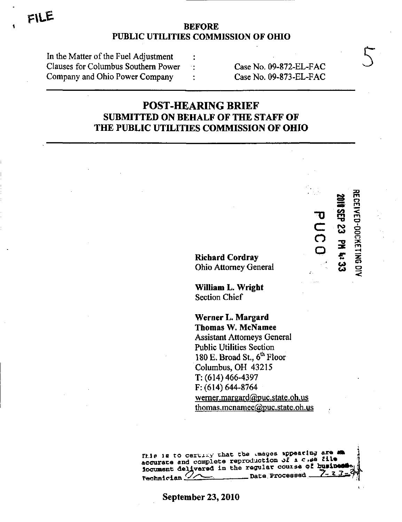### **BEFORE** PUBLIC UTILITIES COMMISSION OF OHIO

| In the Matter of the Fuel Adjustment |  |
|--------------------------------------|--|
| Clauses for Columbus Southern Power  |  |
| Company and Ohio Power Company       |  |

Case No. 09-872-EL-FAC Case No. 09-873-EL-FAC

# **POST-HEARING BRIEF SUBMITTED ON BEHALF OF THE STAFF OF** THE PUBLIC UTILITIES COMMISSION OF OHIO

**Richard Cordray** Ohio Attorney General

William L. Wright **Section Chief** 

Werner L. Margard **Thomas W. McNamee Assistant Attorneys General Public Utilities Section** 180 E. Broad St.,  $6<sup>th</sup>$  Floor Columbus, OH 43215  $T: (614) 466 - 4397$  $F: (614) 644-8764$ werner.margard@puc.state.oh.us thomas.mcnamee@puc.state.oh.us

This is to certify that the images appearing are an accurate and complete reproduction of a  $c$ ,  $d\tilde{a}$  file iocument delivered in the regular course of busine Technician  $\mathcal{Q}_{\bigtriangleup}$ **Date Processed** 

September 23, 2010

DO<sub>U</sub>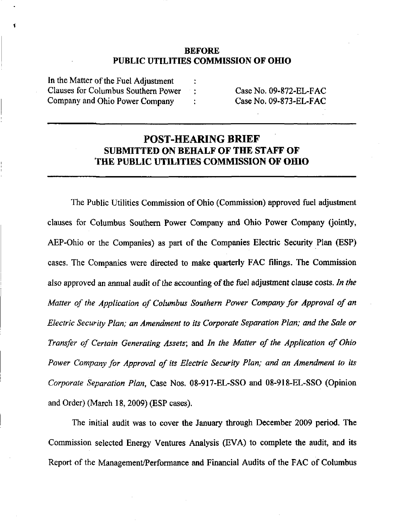### BEFORE PUBLIC UTILITIES COMMISSION OF OHIO

In the Matter of the Fuel Adjustment Clauses for Columbus Southem Power Company and Ohio Power Company

Case No. 09-872-EL-FAC Case No. 09-873-EL-FAC

## POST-HEARING BRIEF SUBMITTED ON BEHALF OF THE STAFF OF THE PUBLIC UTILITIES COMMISSION OF OHIO

 $\ddot{\cdot}$ 

The Public Utilities Commission of Ohio (Commission) approved fuel adjustment clauses for Columbus Southem Power Company and Ohio Power Company (jointly, AEP-Ohio or the Companies) as part of the Companies Electric Security Plan (ESP) cases. The Companies were directed to make quarterly FAC filings. The Commission also approved an annual audit of the accounting of the fuel adjustment clause costs. In the Matter of the Application of Columbus Southern Power Company for Approval of an Electric Security Plan; an Amendment to its Corporate Separation Plan; and the Sale or Transfer of Certain Generating Assets\ and In the Matter of the Application of Ohio Power Company for Approval of its Electric Security Plan; and an Amendment to its Corporate Separation Plan, Case Nos. 08-917-EL-SSO and 08-918-EL-SSO (Opinion and Order) (March 18,2009) (ESP cases).

The initial audit was to cover the January through December 2009 period. The Commission selected Energy Ventures Analysis (EVA) to complete the audit, and its Report of the Management/Performance and Fmancial Audits of the FAC of Columbus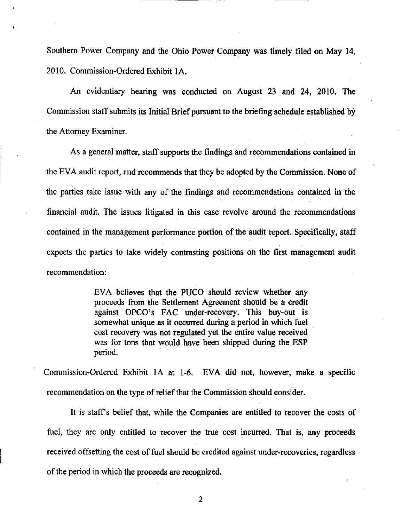Southem Power Company and the Ohio Power Company was timely filed on May 14, 2010. Commission-Ordered Exhibit lA.

An evidentiary hearing was conducted on August 23 and 24, 2010, The Commission staff submits its Initial Brief pursuant to the briefing schedule established by the Attomey Examiner.

As a general matter, staff supports the findings and recommendations contained in the EVA audit report, and recommends that they be adopted by the Commission. None of the parties take issue with any of the findings and recommendations contained in the financial audit. The issues litigated in this case revolve around the recommendations contained in the management performance portion of the audit report. Specifically, staff expects the parties to take widely contrasting positions on the first management audit recommendation:

> EVA believes that the PUCO should review whether any proceeds from the Settlement Agreement should be a credit against OPCO's FAC under-recovery. This buy-out is somewhat unique as it occurred during a period in which fuel cost recovery was not regulated yet the entire value received was for tons that would have been shipped during the ESP period.

Commission-Ordered Exhibit lA at 1-6. EVA did not, however, make a specific recommendation on the type of relief that the Commission should consider.

It is staffs belief that, while the Companies are entitled to recover the costs of fuel, they are only entitled to recover the true cost incurred. That is, any proceeds received offsetting the cost of fuel should be credited against under-recoveries, regardless of the period in which the proceeds are recognized.

2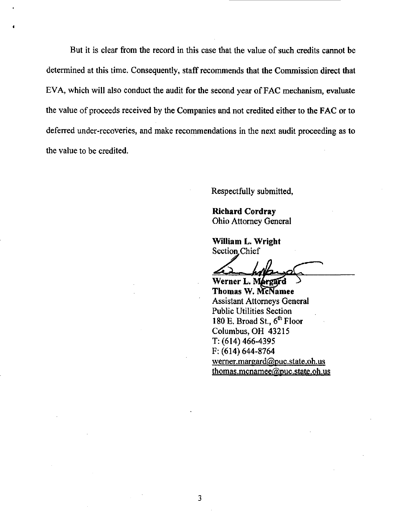But it is clear from the record in this case that the value of such credits cannot be determined at this time. Consequently, staff recommends that the Commission direct that EVA, which will also conduct the audit for the second year of FAC mechanism, evaluate the value of proceeds received by the Companies and not credited either to the FAC or to deferred under-recoveries, and make recommendations in the next audit proceeding as to the value to be credited.

Respectfully submitted,

Richard Cordray Ohio Attomey General

William L. Wright Section Chief

Werner L. Margard Thomas W. McNamee Assistant Attorneys General Public Utilities Section 180 E. Broad St.,  $6^{\text{th}}$  Floor Columbus, OH 43215 T: (614) 466-4395 F: (614) 644-8764 [wemer.margard@puc.state.oh.us](mailto:wemer.margard@puc.state.oh.us)  thomas.mcnamee@puc.state.oh.us